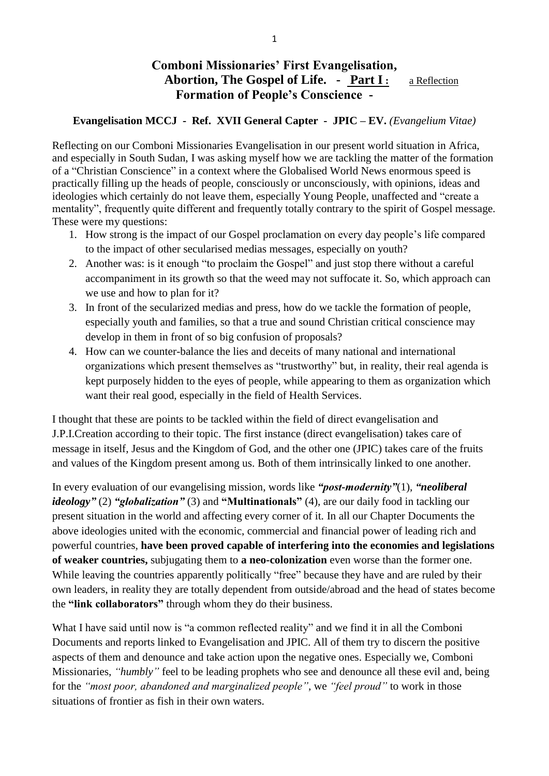# **Comboni Missionaries' First Evangelisation, Abortion, The Gospel of Life. - Part I :** a Reflection **Formation of People's Conscience -**

### **Evangelisation MCCJ - Ref. XVII General Capter - JPIC – EV.** *(Evangelium Vitae)*

Reflecting on our Comboni Missionaries Evangelisation in our present world situation in Africa, and especially in South Sudan, I was asking myself how we are tackling the matter of the formation of a "Christian Conscience" in a context where the Globalised World News enormous speed is practically filling up the heads of people, consciously or unconsciously, with opinions, ideas and ideologies which certainly do not leave them, especially Young People, unaffected and "create a mentality", frequently quite different and frequently totally contrary to the spirit of Gospel message. These were my questions:

- 1. How strong is the impact of our Gospel proclamation on every day people's life compared to the impact of other secularised medias messages, especially on youth?
- 2. Another was: is it enough "to proclaim the Gospel" and just stop there without a careful accompaniment in its growth so that the weed may not suffocate it. So, which approach can we use and how to plan for it?
- 3. In front of the secularized medias and press, how do we tackle the formation of people, especially youth and families, so that a true and sound Christian critical conscience may develop in them in front of so big confusion of proposals?
- 4. How can we counter-balance the lies and deceits of many national and international organizations which present themselves as "trustworthy" but, in reality, their real agenda is kept purposely hidden to the eyes of people, while appearing to them as organization which want their real good, especially in the field of Health Services.

I thought that these are points to be tackled within the field of direct evangelisation and J.P.I.Creation according to their topic. The first instance (direct evangelisation) takes care of message in itself, Jesus and the Kingdom of God, and the other one (JPIC) takes care of the fruits and values of the Kingdom present among us. Both of them intrinsically linked to one another.

In every evaluation of our evangelising mission, words like *"post-modernity"*(1), *"neoliberal ideology"* (2) *"globalization"* (3) and **"Multinationals"** (4), are our daily food in tackling our present situation in the world and affecting every corner of it. In all our Chapter Documents the above ideologies united with the economic, commercial and financial power of leading rich and powerful countries, **have been proved capable of interfering into the economies and legislations of weaker countries,** subjugating them to **a neo-colonization** even worse than the former one. While leaving the countries apparently politically "free" because they have and are ruled by their own leaders, in reality they are totally dependent from outside/abroad and the head of states become the **"link collaborators"** through whom they do their business.

What I have said until now is "a common reflected reality" and we find it in all the Comboni Documents and reports linked to Evangelisation and JPIC. All of them try to discern the positive aspects of them and denounce and take action upon the negative ones. Especially we, Comboni Missionaries, *"humbly"* feel to be leading prophets who see and denounce all these evil and, being for the *"most poor, abandoned and marginalized people",* we *"feel proud"* to work in those situations of frontier as fish in their own waters.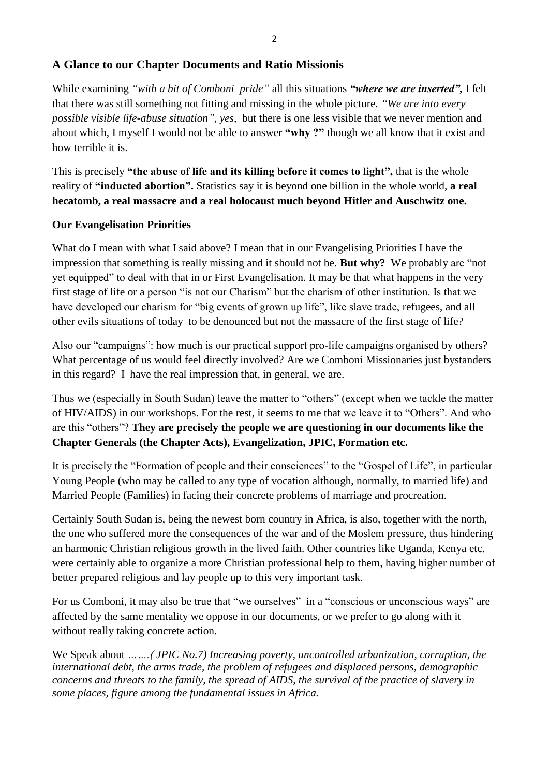# **A Glance to our Chapter Documents and Ratio Missionis**

While examining *"with a bit of Comboni pride"* all this situations *"where we are inserted",* I felt that there was still something not fitting and missing in the whole picture. *"We are into every possible visible life-abuse situation", yes,* but there is one less visible that we never mention and about which, I myself I would not be able to answer **"why ?"** though we all know that it exist and how terrible it is.

This is precisely **"the abuse of life and its killing before it comes to light",** that is the whole reality of **"inducted abortion".** Statistics say it is beyond one billion in the whole world, **a real hecatomb, a real massacre and a real holocaust much beyond Hitler and Auschwitz one.**

# **Our Evangelisation Priorities**

What do I mean with what I said above? I mean that in our Evangelising Priorities I have the impression that something is really missing and it should not be. **But why?** We probably are "not yet equipped" to deal with that in or First Evangelisation. It may be that what happens in the very first stage of life or a person "is not our Charism" but the charism of other institution. Is that we have developed our charism for "big events of grown up life", like slave trade, refugees, and all other evils situations of today to be denounced but not the massacre of the first stage of life?

Also our "campaigns": how much is our practical support pro-life campaigns organised by others? What percentage of us would feel directly involved? Are we Comboni Missionaries just bystanders in this regard? I have the real impression that, in general, we are.

Thus we (especially in South Sudan) leave the matter to "others" (except when we tackle the matter of HIV/AIDS) in our workshops. For the rest, it seems to me that we leave it to "Others". And who are this "others"? **They are precisely the people we are questioning in our documents like the Chapter Generals (the Chapter Acts), Evangelization, JPIC, Formation etc.**

It is precisely the "Formation of people and their consciences" to the "Gospel of Life", in particular Young People (who may be called to any type of vocation although, normally, to married life) and Married People (Families) in facing their concrete problems of marriage and procreation.

Certainly South Sudan is, being the newest born country in Africa, is also, together with the north, the one who suffered more the consequences of the war and of the Moslem pressure, thus hindering an harmonic Christian religious growth in the lived faith. Other countries like Uganda, Kenya etc. were certainly able to organize a more Christian professional help to them, having higher number of better prepared religious and lay people up to this very important task.

For us Comboni, it may also be true that "we ourselves" in a "conscious or unconscious ways" are affected by the same mentality we oppose in our documents, or we prefer to go along with it without really taking concrete action.

We Speak about *…….( JPIC No.7) Increasing poverty, uncontrolled urbanization, corruption, the international debt, the arms trade, the problem of refugees and displaced persons, demographic concerns and threats to the family, the spread of AIDS, the survival of the practice of slavery in some places, figure among the fundamental issues in Africa.*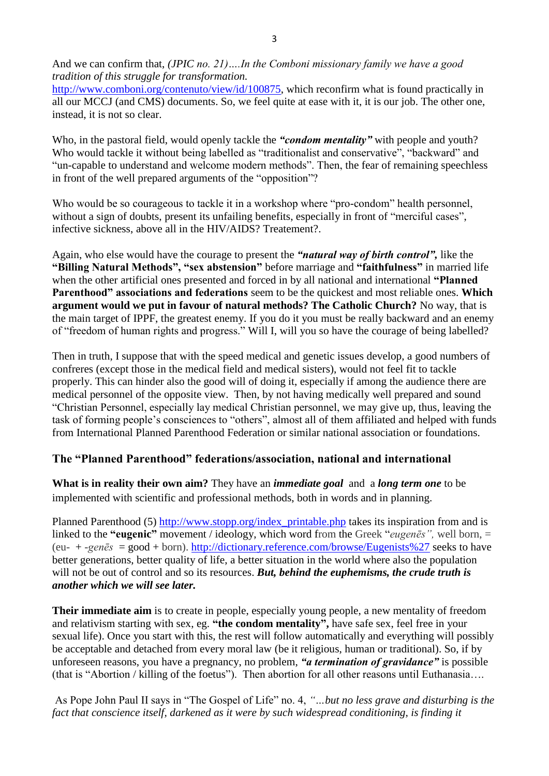And we can confirm that, *(JPIC no. 21)….In the Comboni missionary family we have a good tradition of this struggle for transformation.*

[http://www.comboni.org/contenuto/view/id/100875,](http://www.comboni.org/contenuto/view/id/100875) which reconfirm what is found practically in all our MCCJ (and CMS) documents. So, we feel quite at ease with it, it is our job. The other one, instead, it is not so clear.

Who, in the pastoral field, would openly tackle the *"condom mentality"* with people and youth? Who would tackle it without being labelled as "traditionalist and conservative", "backward" and "un-capable to understand and welcome modern methods". Then, the fear of remaining speechless in front of the well prepared arguments of the "opposition"?

Who would be so courageous to tackle it in a workshop where "pro-condom" health personnel, without a sign of doubts, present its unfailing benefits, especially in front of "merciful cases", infective sickness, above all in the HIV/AIDS? Treatement?.

Again, who else would have the courage to present the *"natural way of birth control",* like the **"Billing Natural Methods", "sex abstension"** before marriage and **"faithfulness"** in married life when the other artificial ones presented and forced in by all national and international **"Planned Parenthood" associations and federations** seem to be the quickest and most reliable ones. **Which argument would we put in favour of natural methods? The Catholic Church?** No way, that is the main target of IPPF, the greatest enemy. If you do it you must be really backward and an enemy of "freedom of human rights and progress." Will I, will you so have the courage of being labelled?

Then in truth, I suppose that with the speed medical and genetic issues develop, a good numbers of confreres (except those in the medical field and medical sisters), would not feel fit to tackle properly. This can hinder also the good will of doing it, especially if among the audience there are medical personnel of the opposite view. Then, by not having medically well prepared and sound "Christian Personnel, especially lay medical Christian personnel, we may give up, thus, leaving the task of forming people's consciences to "others", almost all of them affiliated and helped with funds from International Planned Parenthood Federation or similar national association or foundations.

# **The "Planned Parenthood" federations/association, national and international**

**What is in reality their own aim?** They have an *immediate goal* and a *long term one* to be implemented with scientific and professional methods, both in words and in planning.

Planned Parenthood (5) [http://www.stopp.org/index\\_printable.php](http://www.stopp.org/index_printable.php) takes its inspiration from and is linked to the **"eugenic"** movement / ideology, which word from the Greek "*eugenēs",* well born, = (eu- + *-genēs* = good + born).<http://dictionary.reference.com/browse/Eugenists%27> seeks to have better generations, better quality of life, a better situation in the world where also the population will not be out of control and so its resources. *But, behind the euphemisms, the crude truth is another which we will see later.*

**Their immediate aim** is to create in people, especially young people, a new mentality of freedom and relativism starting with sex, eg. **"the condom mentality",** have safe sex, feel free in your sexual life). Once you start with this, the rest will follow automatically and everything will possibly be acceptable and detached from every moral law (be it religious, human or traditional). So, if by unforeseen reasons, you have a pregnancy, no problem, *"a termination of gravidance"* is possible (that is "Abortion / killing of the foetus"). Then abortion for all other reasons until Euthanasia….

As Pope John Paul II says in "The Gospel of Life" no. 4, *"…but no less grave and disturbing is the fact that conscience itself, darkened as it were by such widespread conditioning, is finding it*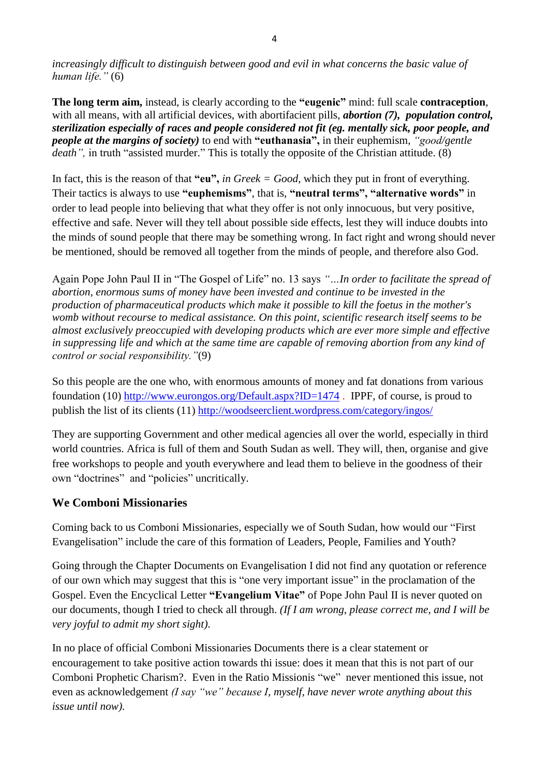*increasingly difficult to distinguish between good and evil in what concerns the basic value of human life."* (6)

**The long term aim,** instead, is clearly according to the **"eugenic"** mind: full scale **contraception**, with all means, with all artificial devices, with abortifacient pills, *abortion (7), population control*, *sterilization especially of races and people considered not fit (eg. mentally sick, poor people, and people at the margins of society)* to end with **"euthanasia",** in their euphemism, *"good/gentle death"*, in truth "assisted murder." This is totally the opposite of the Christian attitude. (8)

In fact, this is the reason of that **"eu",** *in Greek = Good*, which they put in front of everything. Their tactics is always to use **"euphemisms"**, that is, **"neutral terms", "alternative words"** in order to lead people into believing that what they offer is not only innocuous, but very positive, effective and safe. Never will they tell about possible side effects, lest they will induce doubts into the minds of sound people that there may be something wrong. In fact right and wrong should never be mentioned, should be removed all together from the minds of people, and therefore also God.

Again Pope John Paul II in "The Gospel of Life" no. 13 says *"…In order to facilitate the spread of abortion, enormous sums of money have been invested and continue to be invested in the production of pharmaceutical products which make it possible to kill the foetus in the mother's womb without recourse to medical assistance. On this point, scientific research itself seems to be almost exclusively preoccupied with developing products which are ever more simple and effective in suppressing life and which at the same time are capable of removing abortion from any kind of control or social responsibility."*(9)

So this people are the one who, with enormous amounts of money and fat donations from various foundation (10)<http://www.eurongos.org/Default.aspx?ID=1474>. IPPF, of course, is proud to publish the list of its clients (11)<http://woodseerclient.wordpress.com/category/ingos/>

They are supporting Government and other medical agencies all over the world, especially in third world countries. Africa is full of them and South Sudan as well. They will, then, organise and give free workshops to people and youth everywhere and lead them to believe in the goodness of their own "doctrines" and "policies" uncritically.

# **We Comboni Missionaries**

Coming back to us Comboni Missionaries, especially we of South Sudan, how would our "First Evangelisation" include the care of this formation of Leaders, People, Families and Youth?

Going through the Chapter Documents on Evangelisation I did not find any quotation or reference of our own which may suggest that this is "one very important issue" in the proclamation of the Gospel. Even the Encyclical Letter **"Evangelium Vitae"** of Pope John Paul II is never quoted on our documents, though I tried to check all through. *(If I am wrong, please correct me, and I will be very joyful to admit my short sight)*.

In no place of official Comboni Missionaries Documents there is a clear statement or encouragement to take positive action towards thi issue: does it mean that this is not part of our Comboni Prophetic Charism?. Even in the Ratio Missionis "we" never mentioned this issue, not even as acknowledgement *(I say "we" because I, myself, have never wrote anything about this issue until now).*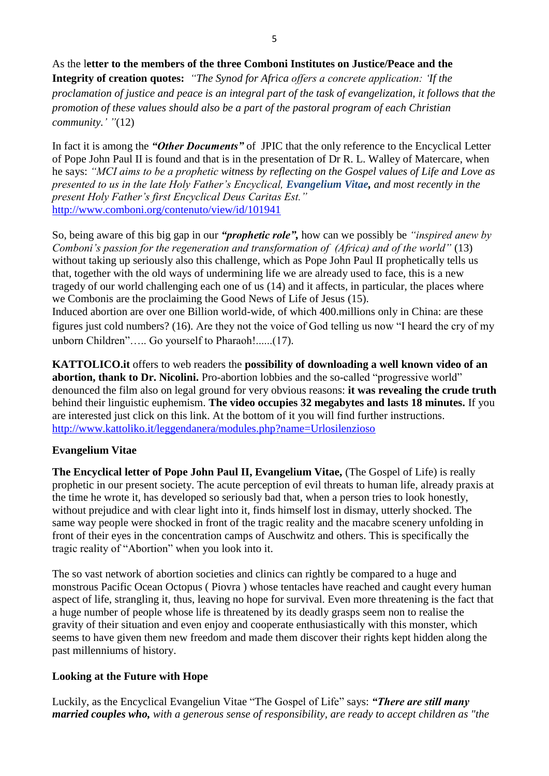As the l**etter to the members of the three Comboni Institutes on Justice/Peace and the Integrity of creation quotes:** *"The Synod for Africa offers a concrete application: 'If the proclamation of justice and peace is an integral part of the task of evangelization, it follows that the promotion of these values should also be a part of the pastoral program of each Christian community.' "*(12)

In fact it is among the *"Other Documents"* of JPIC that the only reference to the Encyclical Letter of Pope John Paul II is found and that is in the presentation of Dr R. L. Walley of Matercare, when he says: *"MCI aims to be a prophetic witness by reflecting on the Gospel values of Life and Love as presented to us in the late Holy Father's Encyclical, Evangelium Vitae, and most recently in the present Holy Father's first Encyclical Deus Caritas Est."* <http://www.comboni.org/contenuto/view/id/101941>

So, being aware of this big gap in our *"prophetic role",* how can we possibly be *"inspired anew by Comboni's passion for the regeneration and transformation of (Africa) and of the world"* (13) without taking up seriously also this challenge, which as Pope John Paul II prophetically tells us that, together with the old ways of undermining life we are already used to face, this is a new tragedy of our world challenging each one of us (14) and it affects, in particular, the places where we Combonis are the proclaiming the Good News of Life of Jesus (15). Induced abortion are over one Billion world-wide, of which 400.millions only in China: are these figures just cold numbers? (16). Are they not the voice of God telling us now "I heard the cry of my unborn Children"….. Go yourself to Pharaoh!......(17).

**KATTOLICO.it** offers to web readers the **possibility of downloading a well known video of an abortion, thank to Dr. Nicolini.** Pro-abortion lobbies and the so-called "progressive world" denounced the film also on legal ground for very obvious reasons: **it was revealing the crude truth** behind their linguistic euphemism. **The video occupies 32 megabytes and lasts 18 minutes.** If you are interested just click on this link. At the bottom of it you will find further instructions. <http://www.kattoliko.it/leggendanera/modules.php?name=Urlosilenzioso>

## **Evangelium Vitae**

**The Encyclical letter of Pope John Paul II, Evangelium Vitae,** (The Gospel of Life) is really prophetic in our present society. The acute perception of evil threats to human life, already praxis at the time he wrote it, has developed so seriously bad that, when a person tries to look honestly, without prejudice and with clear light into it, finds himself lost in dismay, utterly shocked. The same way people were shocked in front of the tragic reality and the macabre scenery unfolding in front of their eyes in the concentration camps of Auschwitz and others. This is specifically the tragic reality of "Abortion" when you look into it.

The so vast network of abortion societies and clinics can rightly be compared to a huge and monstrous Pacific Ocean Octopus ( Piovra ) whose tentacles have reached and caught every human aspect of life, strangling it, thus, leaving no hope for survival. Even more threatening is the fact that a huge number of people whose life is threatened by its deadly grasps seem non to realise the gravity of their situation and even enjoy and cooperate enthusiastically with this monster, which seems to have given them new freedom and made them discover their rights kept hidden along the past millenniums of history.

# **Looking at the Future with Hope**

Luckily, as the Encyclical Evangeliun Vitae "The Gospel of Life" says: *"There are still many married couples who, with a generous sense of responsibility, are ready to accept children as "the*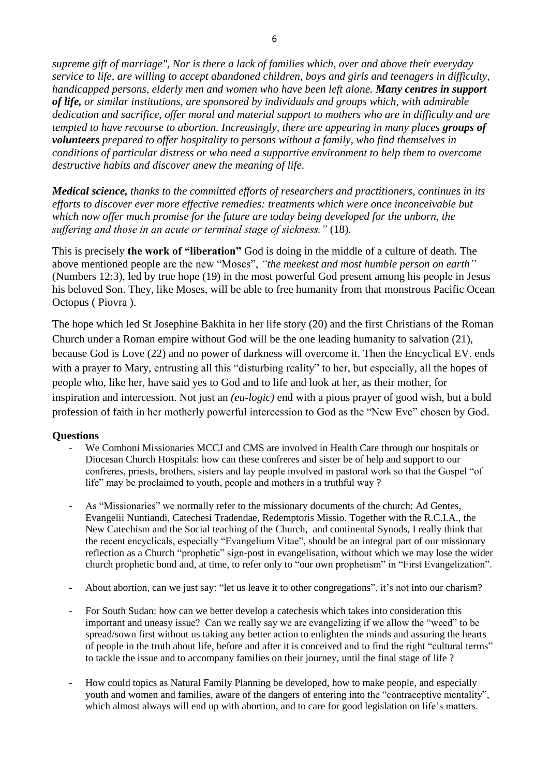*supreme gift of marriage", Nor is there a lack of families which, over and above their everyday service to life, are willing to accept abandoned children, boys and girls and teenagers in difficulty, handicapped persons, elderly men and women who have been left alone. Many centres in support of life, or similar institutions, are sponsored by individuals and groups which, with admirable dedication and sacrifice, offer moral and material support to mothers who are in difficulty and are tempted to have recourse to abortion. Increasingly, there are appearing in many places groups of volunteers prepared to offer hospitality to persons without a family, who find themselves in conditions of particular distress or who need a supportive environment to help them to overcome destructive habits and discover anew the meaning of life.*

*Medical science, thanks to the committed efforts of researchers and practitioners, continues in its efforts to discover ever more effective remedies: treatments which were once inconceivable but which now offer much promise for the future are today being developed for the unborn, the suffering and those in an acute or terminal stage of sickness."* (18).

This is precisely **the work of "liberation"** God is doing in the middle of a culture of death. The above mentioned people are the new "Moses", *"the meekest and most humble person on earth"* (Numbers 12:3), led by true hope (19) in the most powerful God present among his people in Jesus his beloved Son. They, like Moses, will be able to free humanity from that monstrous Pacific Ocean Octopus ( Piovra ).

The hope which led St Josephine Bakhita in her life story (20) and the first Christians of the Roman Church under a Roman empire without God will be the one leading humanity to salvation (21), because God is Love (22) and no power of darkness will overcome it. Then the Encyclical EV. ends with a prayer to Mary, entrusting all this "disturbing reality" to her, but especially, all the hopes of people who, like her, have said yes to God and to life and look at her, as their mother, for inspiration and intercession. Not just an *(eu-logic)* end with a pious prayer of good wish, but a bold profession of faith in her motherly powerful intercession to God as the "New Eve" chosen by God.

## **Questions**

- We Comboni Missionaries MCCJ and CMS are involved in Health Care through our hospitals or Diocesan Church Hospitals: how can these confreres and sister be of help and support to our confreres, priests, brothers, sisters and lay people involved in pastoral work so that the Gospel "of life" may be proclaimed to youth, people and mothers in a truthful way ?
- As "Missionaries" we normally refer to the missionary documents of the church: Ad Gentes, Evangelii Nuntiandi, Catechesi Tradendae, Redemptoris Missio. Together with the R.C.I.A., the New Catechism and the Social teaching of the Church, and continental Synods, I really think that the recent encyclicals, especially "Evangelium Vitae", should be an integral part of our missionary reflection as a Church "prophetic" sign-post in evangelisation, without which we may lose the wider church prophetic bond and, at time, to refer only to "our own prophetism" in "First Evangelization".
- About abortion, can we just say: "let us leave it to other congregations", it's not into our charism?
- For South Sudan: how can we better develop a catechesis which takes into consideration this important and uneasy issue? Can we really say we are evangelizing if we allow the "weed" to be spread/sown first without us taking any better action to enlighten the minds and assuring the hearts of people in the truth about life, before and after it is conceived and to find the right "cultural terms" to tackle the issue and to accompany families on their journey, until the final stage of life ?
- How could topics as Natural Family Planning be developed, how to make people, and especially youth and women and families, aware of the dangers of entering into the "contraceptive mentality", which almost always will end up with abortion, and to care for good legislation on life's matters.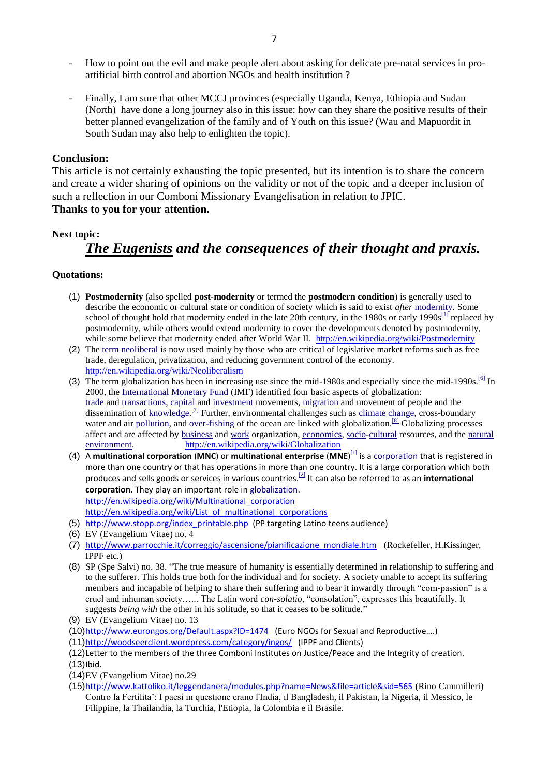- How to point out the evil and make people alert about asking for delicate pre-natal services in proartificial birth control and abortion NGOs and health institution ?
- Finally, I am sure that other MCCJ provinces (especially Uganda, Kenya, Ethiopia and Sudan (North) have done a long journey also in this issue: how can they share the positive results of their better planned evangelization of the family and of Youth on this issue? (Wau and Mapuordit in South Sudan may also help to enlighten the topic).

#### **Conclusion:**

This article is not certainly exhausting the topic presented, but its intention is to share the concern and create a wider sharing of opinions on the validity or not of the topic and a deeper inclusion of such a reflection in our Comboni Missionary Evangelisation in relation to JPIC.

## **Thanks to you for your attention.**

#### **Next topic:**

# *The Eugenists and the consequences of their thought and praxis.*

#### **Quotations:**

- (1) **Postmodernity** (also spelled **post-modernity** or termed the **postmodern condition**) is generally used to describe the economic or cultural state or condition of society which is said to exist *after* [modernity.](http://en.wikipedia.org/wiki/Modernity) Some school of thought hold that modernity ended in the late 20th century, in the 1980s or early 1990s<sup>[\[1\]](http://en.wikipedia.org/wiki/Postmodernity#cite_note-1)</sup> replaced by postmodernity, while others would extend modernity to cover the developments denoted by postmodernity, while some believe that modernity ended after World War II. <http://en.wikipedia.org/wiki/Postmodernity>
- (2) The [term neoliberal](http://en.wikipedia.org/wiki/Neoliberalism#Terminology) is now used mainly by those who are critical of legislative market reforms such as free trade, deregulation, privatization, and reducing government control of the economy. <http://en.wikipedia.org/wiki/Neoliberalism>
- (3) The term globalization has been in increasing use since the mid-1980s and especially since the mid-1990s.<sup>[\[6\]](http://en.wikipedia.org/wiki/Globalization#cite_note-6)</sup> In 2000, the [International Monetary Fund](http://en.wikipedia.org/wiki/International_Monetary_Fund) (IMF) identified four basic aspects of globalization: [trade](http://en.wikipedia.org/wiki/Trade) and [transactions,](http://en.wikipedia.org/wiki/Financial_transaction) [capital](http://en.wikipedia.org/wiki/Capital_(economics)) and [investment](http://en.wikipedia.org/wiki/Investment) movements, [migration](http://en.wikipedia.org/wiki/Human_migration) and movement of people and the dissemination of [knowledge.](http://en.wikipedia.org/wiki/Knowledge)<sup>[\[7\]](http://en.wikipedia.org/wiki/Globalization#cite_note-12th_April_2000:_IMF_Publications-7)</sup> Further, environmental challenges such as [climate change,](http://en.wikipedia.org/wiki/Climate_change) cross-boundary water and air [pollution,](http://en.wikipedia.org/wiki/Pollution) and [over-fishing](http://en.wikipedia.org/wiki/Over-fishing) of the ocean are linked with globalization.<sup>[\[8\]](http://en.wikipedia.org/wiki/Globalization#cite_note-Bridges2002-8)</sup> Globalizing processes affect and are affected by [business](http://en.wikipedia.org/wiki/Business) and [work](http://en.wikipedia.org/wiki/Labor_(economics)) organization, [economics,](http://en.wikipedia.org/wiki/Economics) [socio](http://en.wikipedia.org/wiki/Society)[-cultural](http://en.wikipedia.org/wiki/Cultural) resources, and the [natural](http://en.wikipedia.org/wiki/Natural_environment)  [environment.](http://en.wikipedia.org/wiki/Natural_environment) <http://en.wikipedia.org/wiki/Globalization>
- (4) A **multinational corporation** (**MNC**) or **multinational enterprise** (**MNE**) [\[1\]](http://en.wikipedia.org/wiki/Multinational_corporation#cite_note-pitelis-1) is a [corporation](http://en.wikipedia.org/wiki/Corporation) that is registered in more than one country or that has operations in more than one country. It is a large corporation which both produces and sells goods or services in various countries.[\[2\]](http://en.wikipedia.org/wiki/Multinational_corporation#cite_note-2) It can also be referred to as an **international corporation**. They play an important role in [globalization.](http://en.wikipedia.org/wiki/Globalization) [http://en.wikipedia.org/wiki/Multinational\\_corporation](http://en.wikipedia.org/wiki/Multinational_corporation) [http://en.wikipedia.org/wiki/List\\_of\\_multinational\\_corporations](http://en.wikipedia.org/wiki/List_of_multinational_corporations)
- (5) [http://www.stopp.org/index\\_printable.php](http://www.stopp.org/index_printable.php) (PP targeting Latino teens audience)
- (6) EV (Evangelium Vitae) no. 4
- (7) [http://www.parrocchie.it/correggio/ascensione/pianificazione\\_mondiale.htm](http://www.parrocchie.it/correggio/ascensione/pianificazione_mondiale.htm) (Rockefeller, H.Kissinger, IPPF etc.)
- (8) SP (Spe Salvi) no. 38. "The true measure of humanity is essentially determined in relationship to suffering and to the sufferer. This holds true both for the individual and for society. A society unable to accept its suffering members and incapable of helping to share their suffering and to bear it inwardly through "com-passion" is a cruel and inhuman society…... The Latin word *con-solatio,* "consolation", expresses this beautifully. It suggests *being with* the other in his solitude, so that it ceases to be solitude."
- (9) EV (Evangelium Vitae) no. 13
- (10)<http://www.eurongos.org/Default.aspx?ID=1474>(Euro NGOs for Sexual and Reproductive….)
- (11)<http://woodseerclient.wordpress.com/category/ingos/>(IPPF and Clients)
- (12)Letter to the members of the three Comboni Institutes on Justice/Peace and the Integrity of creation.
- (13)Ibid.
- (14)EV (Evangelium Vitae) no.29
- (15)<http://www.kattoliko.it/leggendanera/modules.php?name=News&file=article&sid=565> (Rino Cammilleri) Contro la Fertilita': I paesi in questione erano l'India, il Bangladesh, il Pakistan, la Nigeria, il Messico, le Filippine, la Thailandia, la Turchia, l'Etiopia, la Colombia e il Brasile.